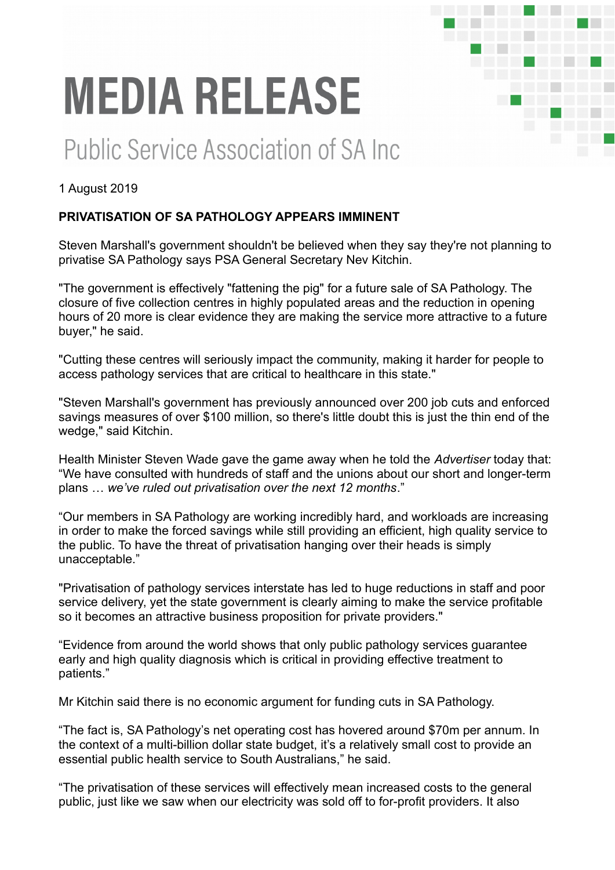# **MEDIA RELEASE**

## **Public Service Association of SA Inc.**

#### 1 August 2019

### **PRIVATISATION OF SA PATHOLOGY APPEARS IMMINENT**

Steven Marshall's government shouldn't be believed when they say they're not planning to privatise SA Pathology says PSA General Secretary Nev Kitchin.

and the start of the start of the start 

"The government is effectively "fattening the pig" for a future sale of SA Pathology. The closure of five collection centres in highly populated areas and the reduction in opening hours of 20 more is clear evidence they are making the service more attractive to a future buyer," he said.

"Cutting these centres will seriously impact the community, making it harder for people to access pathology services that are critical to healthcare in this state."

"Steven Marshall's government has previously announced over 200 job cuts and enforced savings measures of over \$100 million, so there's little doubt this is just the thin end of the wedge," said Kitchin.

Health Minister Steven Wade gave the game away when he told the *Advertiser* today that: "We have consulted with hundreds of staff and the unions about our short and longer-term plans … *we've ruled out privatisation over the next 12 months*."

"Our members in SA Pathology are working incredibly hard, and workloads are increasing in order to make the forced savings while still providing an efficient, high quality service to the public. To have the threat of privatisation hanging over their heads is simply unacceptable."

"Privatisation of pathology services interstate has led to huge reductions in staff and poor service delivery, yet the state government is clearly aiming to make the service profitable so it becomes an attractive business proposition for private providers."

"Evidence from around the world shows that only public pathology services guarantee early and high quality diagnosis which is critical in providing effective treatment to patients."

Mr Kitchin said there is no economic argument for funding cuts in SA Pathology.

"The fact is, SA Pathology's net operating cost has hovered around \$70m per annum. In the context of a multi-billion dollar state budget, it's a relatively small cost to provide an essential public health service to South Australians," he said.

"The privatisation of these services will effectively mean increased costs to the general public, just like we saw when our electricity was sold off to for-profit providers. It also